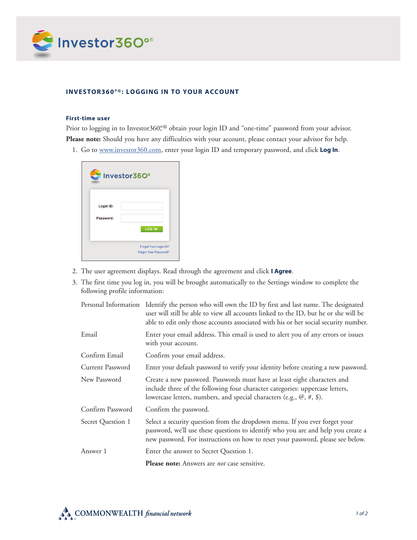

## **INVESTOR360°®: LOGGING IN TO YOUR ACCOUNT**

## **First-time user**

Prior to logging in to Investor360,<sup>o®</sup> obtain your login ID and "one-time" password from your advisor. **Please note:** Should you have any difficulties with your account, please contact your advisor for help.

1. Go to www.investor360.com, enter your login ID and temporary password, and click **Log In**.



- 2. The user agreement displays. Read through the agreement and click **I Agree**.
- 3. The first time you log in, you will be brought automatically to the Settings window to complete the following profile information:

|                   | Personal Information Identify the person who will own the ID by first and last name. The designated<br>user will still be able to view all accounts linked to the ID, but he or she will be<br>able to edit only those accounts associated with his or her social security number. |
|-------------------|------------------------------------------------------------------------------------------------------------------------------------------------------------------------------------------------------------------------------------------------------------------------------------|
| Email             | Enter your email address. This email is used to alert you of any errors or issues<br>with your account.                                                                                                                                                                            |
| Confirm Email     | Confirm your email address.                                                                                                                                                                                                                                                        |
| Current Password  | Enter your default password to verify your identity before creating a new password.                                                                                                                                                                                                |
| New Password      | Create a new password. Passwords must have at least eight characters and<br>include three of the following four character categories: uppercase letters,<br>lowercase letters, numbers, and special characters (e.g., @, #, \$).                                                   |
| Confirm Password  | Confirm the password.                                                                                                                                                                                                                                                              |
| Secret Question 1 | Select a security question from the dropdown menu. If you ever forget your<br>password, we'll use these questions to identify who you are and help you create a<br>new password. For instructions on how to reset your password, please see below.                                 |
| Answer 1          | Enter the answer to Secret Question 1.                                                                                                                                                                                                                                             |
|                   | <b>Please note:</b> Answers are <i>not</i> case sensitive.                                                                                                                                                                                                                         |